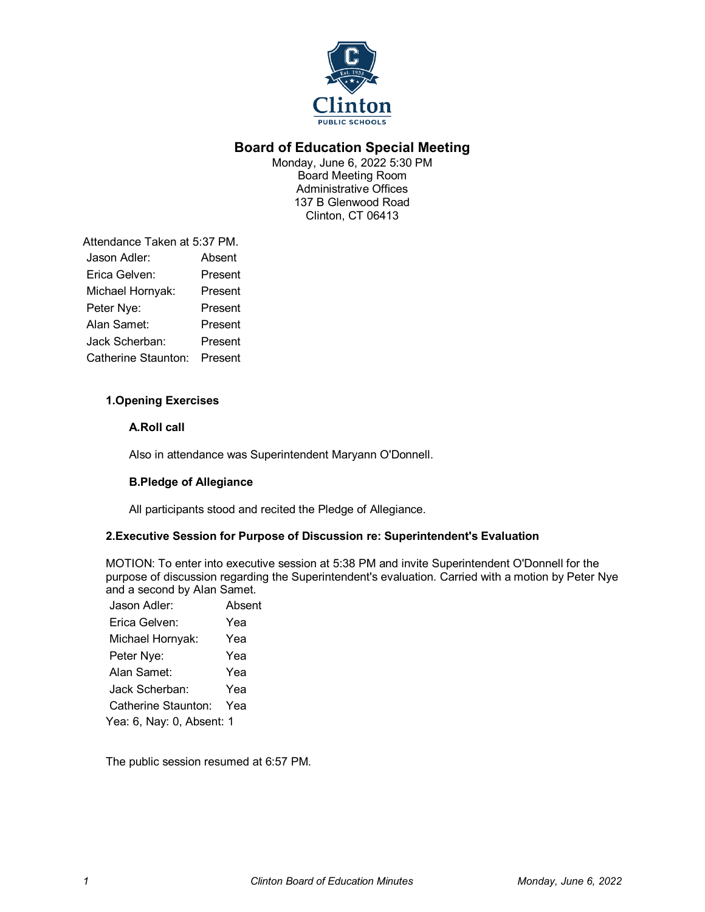

# **Board of Education Special Meeting**

Monday, June 6, 2022 5:30 PM Board Meeting Room Administrative Offices 137 B Glenwood Road Clinton, CT 06413

Attendance Taken at 5:37 PM. Jason Adler: Absent Erica Gelven: Present Michael Hornyak: Present Peter Nye: Present Alan Samet: Present Jack Scherban: Present Catherine Staunton: Present

## **1.Opening Exercises**

#### **A.Roll call**

Also in attendance was Superintendent Maryann O'Donnell.

#### **B.Pledge of Allegiance**

All participants stood and recited the Pledge of Allegiance.

#### **2.Executive Session for Purpose of Discussion re: Superintendent's Evaluation**

MOTION: To enter into executive session at 5:38 PM and invite Superintendent O'Donnell for the purpose of discussion regarding the Superintendent's evaluation. Carried with a motion by Peter Nye and a second by Alan Samet.

| Jason Adler:              | Absent |
|---------------------------|--------|
| Erica Gelven:             | Yea    |
| Michael Hornyak:          | Yea    |
| Peter Nye:                | Yea    |
| Alan Samet:               | Yea    |
| Jack Scherban:            | Yea    |
| Catherine Staunton:       | Yea    |
| Yea: 6, Nay: 0, Absent: 1 |        |

The public session resumed at 6:57 PM.